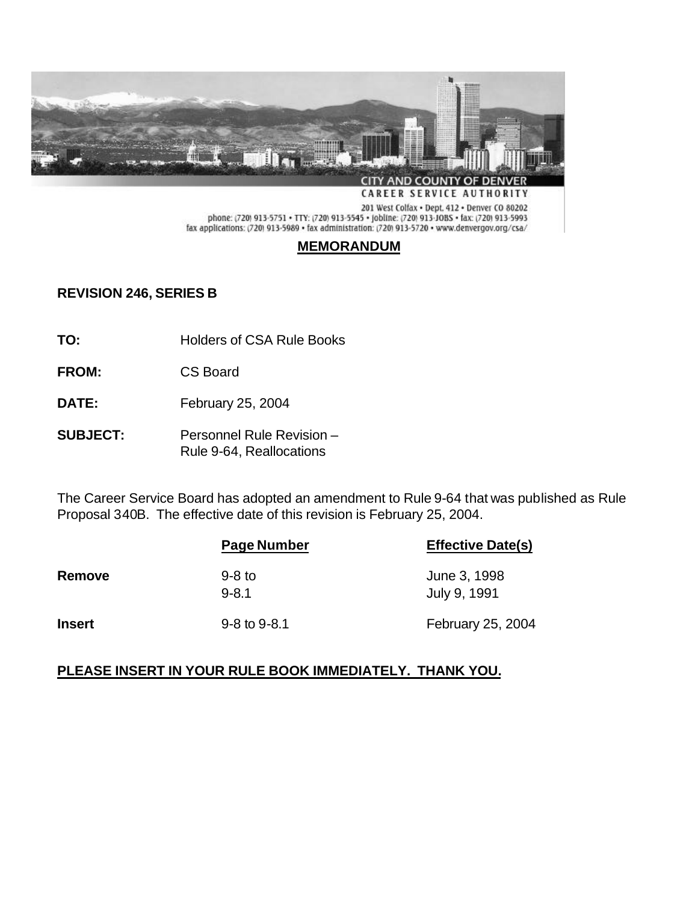

phone: (720) 913-5751 · TTY: (720) 913-5545 · jobline: (720) 913-JOBS · fax: (720) 913-5993 fax applications: (720) 913-5989 • fax administration: (720) 913-5720 • www.denvergov.org/csa/

# **MEMORANDUM**

# **REVISION 246, SERIES B**

- **TO:** Holders of CSA Rule Books
- **FROM:** CS Board
- **DATE:** February 25, 2004
- **SUBJECT:** Personnel Rule Revision Rule 9-64, Reallocations

The Career Service Board has adopted an amendment to Rule 9-64 that was published as Rule Proposal 340B. The effective date of this revision is February 25, 2004.

|               | Page Number           | <b>Effective Date(s)</b>     |
|---------------|-----------------------|------------------------------|
| Remove        | $9-8$ to<br>$9 - 8.1$ | June 3, 1998<br>July 9, 1991 |
| <b>Insert</b> | $9 - 8$ to $9 - 8.1$  | February 25, 2004            |

## **PLEASE INSERT IN YOUR RULE BOOK IMMEDIATELY. THANK YOU.**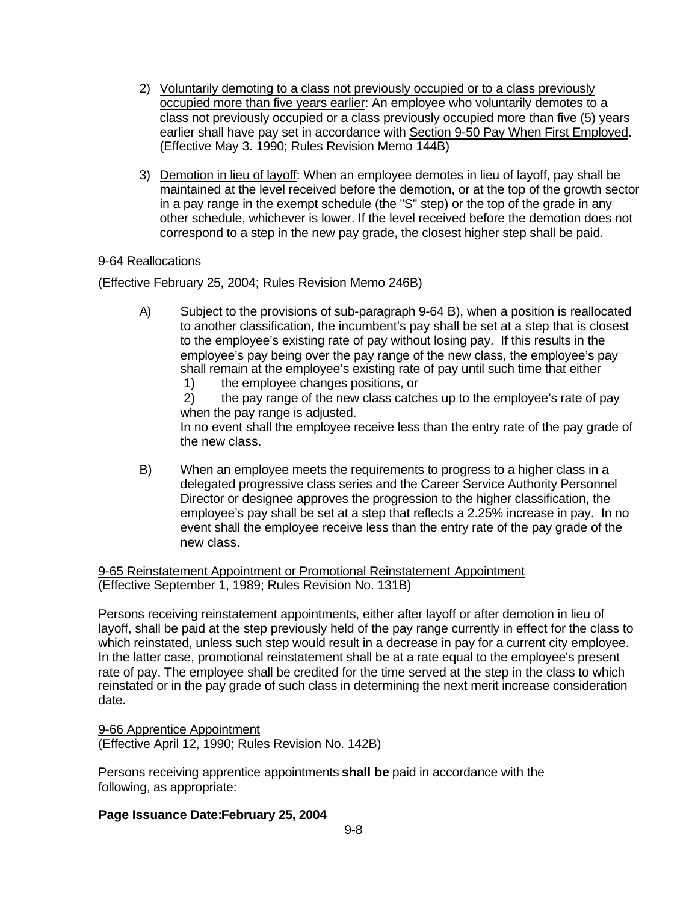- 2) Voluntarily demoting to a class not previously occupied or to a class previously occupied more than five years earlier: An employee who voluntarily demotes to a class not previously occupied or a class previously occupied more than five (5) years earlier shall have pay set in accordance with Section 9-50 Pay When First Employed. (Effective May 3. 1990; Rules Revision Memo 144B)
- 3) Demotion in lieu of layoff: When an employee demotes in lieu of layoff, pay shall be maintained at the level received before the demotion, or at the top of the growth sector in a pay range in the exempt schedule (the "S" step) or the top of the grade in any other schedule, whichever is lower. If the level received before the demotion does not correspond to a step in the new pay grade, the closest higher step shall be paid.

## 9-64 Reallocations

(Effective February 25, 2004; Rules Revision Memo 246B)

- A) Subject to the provisions of sub-paragraph 9-64 B), when a position is reallocated to another classification, the incumbent's pay shall be set at a step that is closest to the employee's existing rate of pay without losing pay. If this results in the employee's pay being over the pay range of the new class, the employee's pay shall remain at the employee's existing rate of pay until such time that either
	- 1) the employee changes positions, or

 2) the pay range of the new class catches up to the employee's rate of pay when the pay range is adjusted.

In no event shall the employee receive less than the entry rate of the pay grade of the new class.

B) When an employee meets the requirements to progress to a higher class in a delegated progressive class series and the Career Service Authority Personnel Director or designee approves the progression to the higher classification, the employee's pay shall be set at a step that reflects a 2.25% increase in pay. In no event shall the employee receive less than the entry rate of the pay grade of the new class.

9-65 Reinstatement Appointment or Promotional Reinstatement Appointment (Effective September 1, 1989; Rules Revision No. 131B)

Persons receiving reinstatement appointments, either after layoff or after demotion in lieu of layoff, shall be paid at the step previously held of the pay range currently in effect for the class to which reinstated, unless such step would result in a decrease in pay for a current city employee. In the latter case, promotional reinstatement shall be at a rate equal to the employee's present rate of pay. The employee shall be credited for the time served at the step in the class to which reinstated or in the pay grade of such class in determining the next merit increase consideration date.

9-66 Apprentice Appointment (Effective April 12, 1990; Rules Revision No. 142B)

Persons receiving apprentice appointments **shall be** paid in accordance with the following, as appropriate:

## **Page Issuance Date:February 25, 2004**